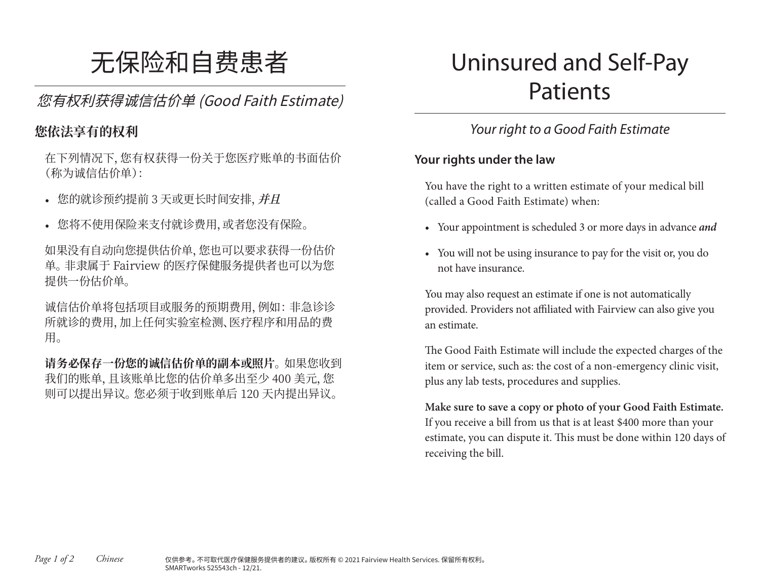# 无保险和自费患者

您有权利获得诚信估价单 (Good Faith Estimate)

#### **您依法享有的权利**

在下列情况下,您有权获得一份关于您医疗账单的书面估价 (称为诚信估价单):

- 您的就诊预约提前 3 天或更长时间安排,**并且**
- 您将不使用保险来支付就诊费用,或者您没有保险。

如果没有自动向您提供估价单,您也可以要求获得一份估价 单。 非隶属于 Fairview 的医疗保健服务提供者也可以为您 提供一份估价单。

诚信估价单将包括项目或服务的预期费用,例如: 非急诊诊 所就诊的费用,加上任何实验室检测、医疗程序和用品的费 用。

**请务必保存一份您的诚信估价单的副本或照片**。如果您收到 我们的账单,且该账单比您的估价单多出至少 400 美元,您 则可以提出异议。 您必须于收到账单后 120 天内提出异议。

## Uninsured and Self-Pay Patients

## *Your right to a Good Faith Estimate*

#### **Your rights under the law**

You have the right to a written estimate of your medical bill (called a Good Faith Estimate) when:

- Your appointment is scheduled 3 or more days in advance *and*
- You will not be using insurance to pay for the visit or, you do not have insurance.

You may also request an estimate if one is not automatically provided. Providers not affiliated with Fairview can also give you an estimate.

The Good Faith Estimate will include the expected charges of the item or service, such as: the cost of a non-emergency clinic visit, plus any lab tests, procedures and supplies.

**Make sure to save a copy or photo of your Good Faith Estimate.** If you receive a bill from us that is at least \$400 more than your estimate, you can dispute it. This must be done within 120 days of receiving the bill.